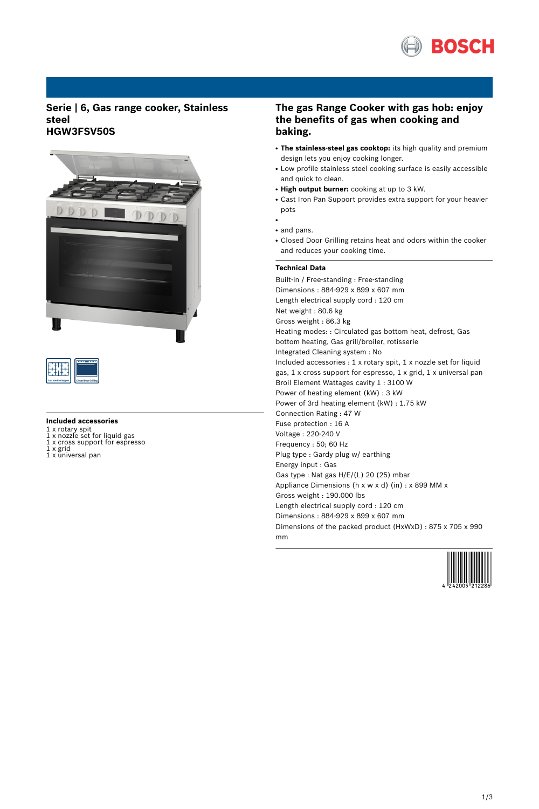

## **Serie | 6, Gas range cooker, Stainless steel HGW3FSV50S**





#### **Included accessories**

- 
- 1 x rotary spit 1 x nozzle set for liquid gas 1 x cross support for espresso 1 x grid
- 1 x universal pan

# **The gas Range Cooker with gas hob: enjoy the benefits of gas when cooking and baking.**

- **The stainless-steel gas cooktop:** its high quality and premium design lets you enjoy cooking longer.
- Low profile stainless steel cooking surface is easily accessible and quick to clean.
- **High output burner:** cooking at up to 3 kW.
- Cast Iron Pan Support provides extra support for your heavier pots
- and pans.

●

• Closed Door Grilling retains heat and odors within the cooker and reduces your cooking time.

## **Technical Data**

Built-in / Free-standing : Free-standing Dimensions : 884-929 x 899 x 607 mm Length electrical supply cord : 120 cm Net weight : 80.6 kg Gross weight : 86.3 kg Heating modes: : Circulated gas bottom heat, defrost, Gas bottom heating, Gas grill/broiler, rotisserie Integrated Cleaning system : No Included accessories : 1 x rotary spit, 1 x nozzle set for liquid gas, 1 x cross support for espresso, 1 x grid, 1 x universal pan Broil Element Wattages cavity 1 : 3100 W Power of heating element (kW) : 3 kW Power of 3rd heating element (kW) : 1.75 kW Connection Rating : 47 W Fuse protection : 16 A Voltage : 220-240 V Frequency : 50; 60 Hz Plug type : Gardy plug w/ earthing Energy input : Gas Gas type : Nat gas H/E/(L) 20 (25) mbar Appliance Dimensions (h x w x d) (in) : x 899 MM x Gross weight : 190.000 lbs Length electrical supply cord : 120 cm Dimensions : 884-929 x 899 x 607 mm Dimensions of the packed product (HxWxD) : 875 x 705 x 990 mm

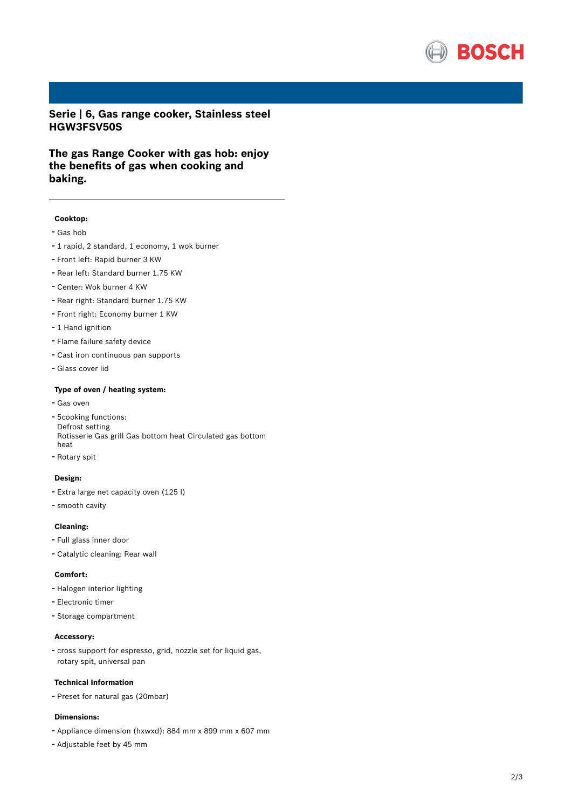

**Serie | 6, Gas range cooker, Stainless steel HGW3FSV50S**

**The gas Range Cooker with gas hob: enjoy the benefits of gas when cooking and baking.**

### **Cooktop:**

- Gas hob
- <sup>1</sup> rapid, <sup>2</sup> standard, <sup>1</sup> economy, <sup>1</sup> wok burner
- Front left: Rapid burner <sup>3</sup> KW
- Rear left: Standard burner 1.75 KW
- Center: Wok burner <sup>4</sup> KW
- Rear right: Standard burner 1.75 KW
- Front right: Economy burner <sup>1</sup> KW
- 1 Hand ignition
- Flame failure safety device
- Cast iron continuous pan supports
- Glass cover lid

#### **Type of oven / heating system:**

- Gas oven
- 5cooking functions: Defrost setting Rotisserie Gas grill Gas bottom heat Circulated gas bottom heat
- Rotary spit

#### **Design:**

- Extra large net capacity oven (125 l)
- smooth cavity

#### **Cleaning:**

- Full glass inner door
- Catalytic cleaning: Rear wall

#### **Comfort:**

- Halogen interior lighting
- Electronic timer
- Storage compartment

#### **Accessory:**

- cross support for espresso, grid, nozzle set for liquid gas, rotary spit, universal pan

#### **Technical Information**

- Preset for natural gas (20mbar)

#### **Dimensions:**

- Appliance dimension (hxwxd): 884 mm x 899 mm x 607 mm
- Adjustable feet by <sup>45</sup> mm